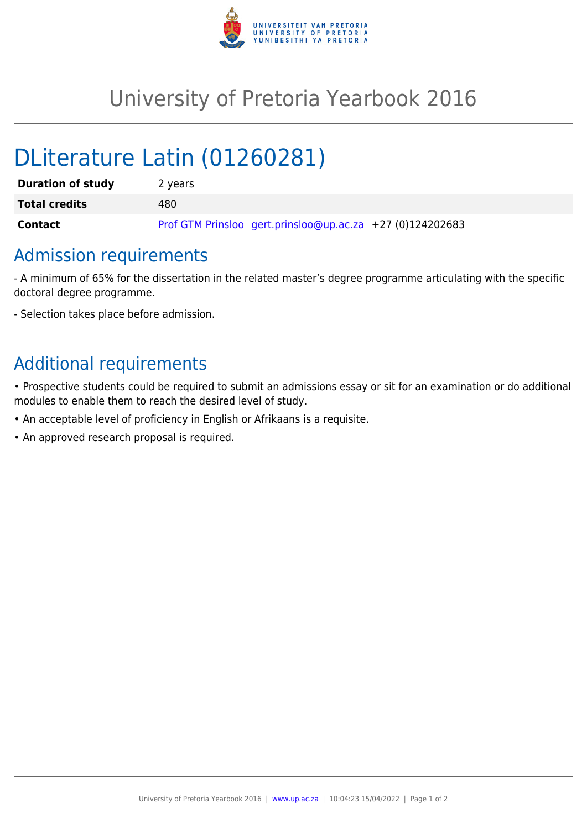

## University of Pretoria Yearbook 2016

# DLiterature Latin (01260281)

| <b>Duration of study</b> | 2 years                                                   |
|--------------------------|-----------------------------------------------------------|
| <b>Total credits</b>     | 480                                                       |
| <b>Contact</b>           | Prof GTM Prinsloo gert.prinsloo@up.ac.za +27 (0)124202683 |

#### Admission requirements

- A minimum of 65% for the dissertation in the related master's degree programme articulating with the specific doctoral degree programme.

- Selection takes place before admission.

### Additional requirements

• Prospective students could be required to submit an admissions essay or sit for an examination or do additional modules to enable them to reach the desired level of study.

- An acceptable level of proficiency in English or Afrikaans is a requisite.
- An approved research proposal is required.